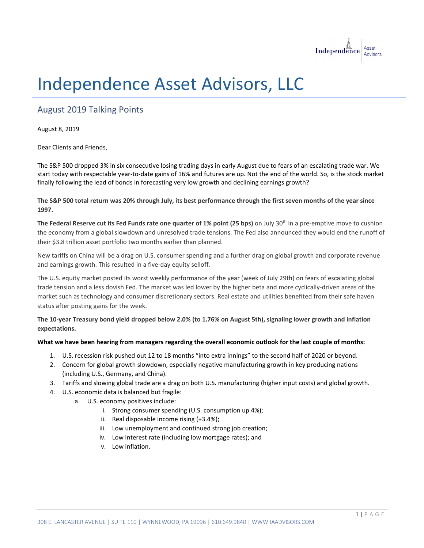

## Independence Asset Advisors, LLC

## August 2019 Talking Points

August 8, 2019

Dear Clients and Friends,

The S&P 500 dropped 3% in six consecutive losing trading days in early August due to fears of an escalating trade war. We start today with respectable year-to-date gains of 16% and futures are up. Not the end of the world. So, is the stock market finally following the lead of bonds in forecasting very low growth and declining earnings growth?

**The S&P 500 total return was 20% through July, its best performance through the first seven months of the year since 1997.**

**The Federal Reserve cut its Fed Funds rate one quarter of 1% point (25 bps)** on July 30th in a pre-emptive move to cushion the economy from a global slowdown and unresolved trade tensions. The Fed also announced they would end the runoff of their \$3.8 trillion asset portfolio two months earlier than planned.

New tariffs on China will be a drag on U.S. consumer spending and a further drag on global growth and corporate revenue and earnings growth. This resulted in a five-day equity selloff.

The U.S. equity market posted its worst weekly performance of the year (week of July 29th) on fears of escalating global trade tension and a less dovish Fed. The market was led lower by the higher beta and more cyclically-driven areas of the market such as technology and consumer discretionary sectors. Real estate and utilities benefited from their safe haven status after posting gains for the week.

**The 10-year Treasury bond yield dropped below 2.0% (to 1.76% on August 5th), signaling lower growth and inflation expectations.**

## **What we have been hearing from managers regarding the overall economic outlook for the last couple of months:**

- 1. U.S. recession risk pushed out 12 to 18 months "into extra innings" to the second half of 2020 or beyond.
- 2. Concern for global growth slowdown, especially negative manufacturing growth in key producing nations (including U.S., Germany, and China).
- 3. Tariffs and slowing global trade are a drag on both U.S. manufacturing (higher input costs) and global growth.
- 4. U.S. economic data is balanced but fragile:
	- a. U.S. economy positives include:
		- i. Strong consumer spending (U.S. consumption up 4%);
			- ii. Real disposable income rising (+3.4%);
			- iii. Low unemployment and continued strong job creation;
			- iv. Low interest rate (including low mortgage rates); and
			- v. Low inflation.